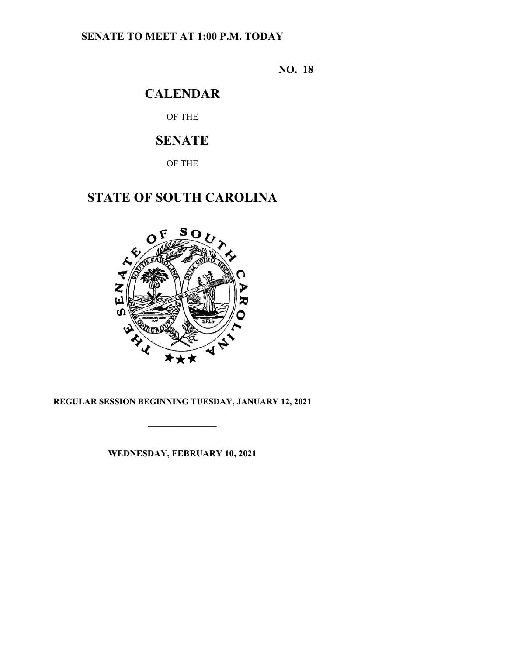## **SENATE TO MEET AT 1:00 P.M. TODAY**

**NO. 18**

# **CALENDAR**

OF THE

# **SENATE**

OF THE

# **STATE OF SOUTH CAROLINA**



## **REGULAR SESSION BEGINNING TUESDAY, JANUARY 12, 2021**

**\_\_\_\_\_\_\_\_\_\_\_\_\_\_\_**

**WEDNESDAY, FEBRUARY 10, 2021**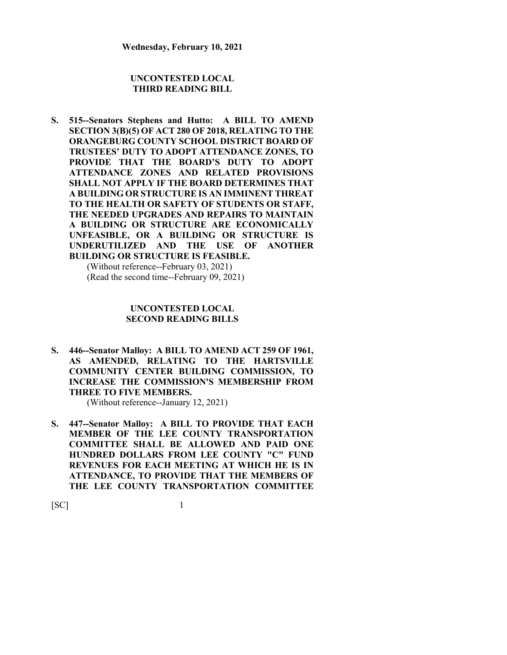### **UNCONTESTED LOCAL THIRD READING BILL**

**S. 515--Senators Stephens and Hutto: A BILL TO AMEND SECTION 3(B)(5) OF ACT 280 OF 2018, RELATING TO THE ORANGEBURG COUNTY SCHOOL DISTRICT BOARD OF TRUSTEES' DUTY TO ADOPT ATTENDANCE ZONES, TO PROVIDE THAT THE BOARD'S DUTY TO ADOPT ATTENDANCE ZONES AND RELATED PROVISIONS SHALL NOT APPLY IF THE BOARD DETERMINES THAT A BUILDING OR STRUCTURE IS AN IMMINENT THREAT TO THE HEALTH OR SAFETY OF STUDENTS OR STAFF, THE NEEDED UPGRADES AND REPAIRS TO MAINTAIN A BUILDING OR STRUCTURE ARE ECONOMICALLY UNFEASIBLE, OR A BUILDING OR STRUCTURE IS UNDERUTILIZED AND THE USE OF ANOTHER BUILDING OR STRUCTURE IS FEASIBLE.** (Without reference--February 03, 2021)

(Read the second time--February 09, 2021)

### **UNCONTESTED LOCAL SECOND READING BILLS**

**S. 446--Senator Malloy: A BILL TO AMEND ACT 259 OF 1961, AS AMENDED, RELATING TO THE HARTSVILLE COMMUNITY CENTER BUILDING COMMISSION, TO INCREASE THE COMMISSION'S MEMBERSHIP FROM THREE TO FIVE MEMBERS.**

(Without reference--January 12, 2021)

**S. 447--Senator Malloy: A BILL TO PROVIDE THAT EACH MEMBER OF THE LEE COUNTY TRANSPORTATION COMMITTEE SHALL BE ALLOWED AND PAID ONE HUNDRED DOLLARS FROM LEE COUNTY "C" FUND REVENUES FOR EACH MEETING AT WHICH HE IS IN ATTENDANCE, TO PROVIDE THAT THE MEMBERS OF THE LEE COUNTY TRANSPORTATION COMMITTEE** 

 $[SC]$  1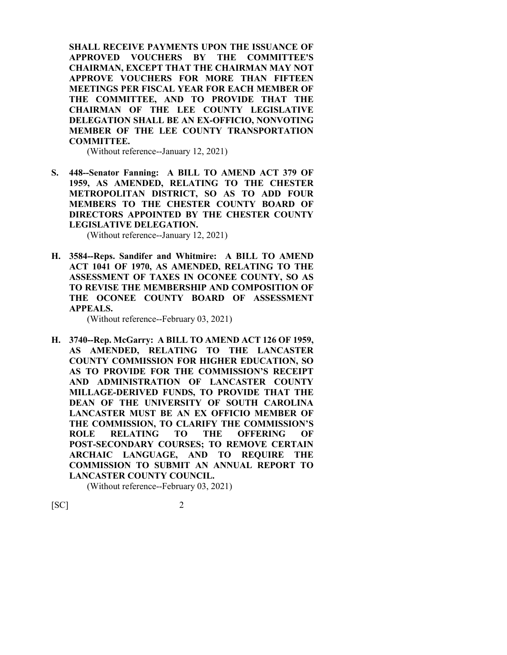**SHALL RECEIVE PAYMENTS UPON THE ISSUANCE OF APPROVED VOUCHERS BY THE COMMITTEE'S CHAIRMAN, EXCEPT THAT THE CHAIRMAN MAY NOT APPROVE VOUCHERS FOR MORE THAN FIFTEEN MEETINGS PER FISCAL YEAR FOR EACH MEMBER OF THE COMMITTEE, AND TO PROVIDE THAT THE CHAIRMAN OF THE LEE COUNTY LEGISLATIVE DELEGATION SHALL BE AN EX-OFFICIO, NONVOTING MEMBER OF THE LEE COUNTY TRANSPORTATION COMMITTEE.**

(Without reference--January 12, 2021)

**S. 448--Senator Fanning: A BILL TO AMEND ACT 379 OF 1959, AS AMENDED, RELATING TO THE CHESTER METROPOLITAN DISTRICT, SO AS TO ADD FOUR MEMBERS TO THE CHESTER COUNTY BOARD OF DIRECTORS APPOINTED BY THE CHESTER COUNTY LEGISLATIVE DELEGATION.**

(Without reference--January 12, 2021)

**H. 3584--Reps. Sandifer and Whitmire: A BILL TO AMEND ACT 1041 OF 1970, AS AMENDED, RELATING TO THE ASSESSMENT OF TAXES IN OCONEE COUNTY, SO AS TO REVISE THE MEMBERSHIP AND COMPOSITION OF THE OCONEE COUNTY BOARD OF ASSESSMENT APPEALS.**

(Without reference--February 03, 2021)

**H. 3740--Rep. McGarry: A BILL TO AMEND ACT 126 OF 1959, AS AMENDED, RELATING TO THE LANCASTER COUNTY COMMISSION FOR HIGHER EDUCATION, SO AS TO PROVIDE FOR THE COMMISSION'S RECEIPT AND ADMINISTRATION OF LANCASTER COUNTY MILLAGE-DERIVED FUNDS, TO PROVIDE THAT THE DEAN OF THE UNIVERSITY OF SOUTH CAROLINA LANCASTER MUST BE AN EX OFFICIO MEMBER OF THE COMMISSION, TO CLARIFY THE COMMISSION'S ROLE RELATING TO THE OFFERING OF POST-SECONDARY COURSES; TO REMOVE CERTAIN ARCHAIC LANGUAGE, AND TO REQUIRE THE COMMISSION TO SUBMIT AN ANNUAL REPORT TO LANCASTER COUNTY COUNCIL.**

(Without reference--February 03, 2021)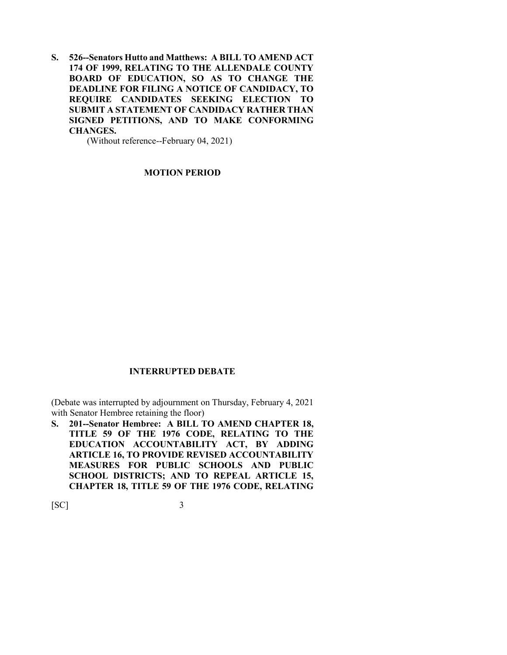**S. 526--Senators Hutto and Matthews: A BILL TO AMEND ACT 174 OF 1999, RELATING TO THE ALLENDALE COUNTY BOARD OF EDUCATION, SO AS TO CHANGE THE DEADLINE FOR FILING A NOTICE OF CANDIDACY, TO REQUIRE CANDIDATES SEEKING ELECTION TO SUBMIT A STATEMENT OF CANDIDACY RATHER THAN SIGNED PETITIONS, AND TO MAKE CONFORMING CHANGES.**

(Without reference--February 04, 2021)

**MOTION PERIOD**

#### **INTERRUPTED DEBATE**

(Debate was interrupted by adjournment on Thursday, February 4, 2021 with Senator Hembree retaining the floor)

**S. 201--Senator Hembree: A BILL TO AMEND CHAPTER 18, TITLE 59 OF THE 1976 CODE, RELATING TO THE EDUCATION ACCOUNTABILITY ACT, BY ADDING ARTICLE 16, TO PROVIDE REVISED ACCOUNTABILITY MEASURES FOR PUBLIC SCHOOLS AND PUBLIC SCHOOL DISTRICTS; AND TO REPEAL ARTICLE 15, CHAPTER 18, TITLE 59 OF THE 1976 CODE, RELATING** 

 $[SC]$  3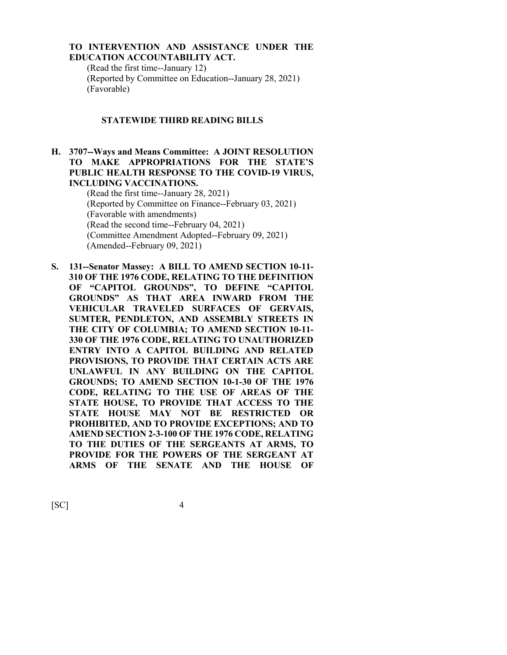## **TO INTERVENTION AND ASSISTANCE UNDER THE EDUCATION ACCOUNTABILITY ACT.**

(Read the first time--January 12) (Reported by Committee on Education--January 28, 2021) (Favorable)

#### **STATEWIDE THIRD READING BILLS**

## **H. 3707--Ways and Means Committee: A JOINT RESOLUTION TO MAKE APPROPRIATIONS FOR THE STATE'S PUBLIC HEALTH RESPONSE TO THE COVID-19 VIRUS, INCLUDING VACCINATIONS.**

(Read the first time--January 28, 2021) (Reported by Committee on Finance--February 03, 2021) (Favorable with amendments) (Read the second time--February 04, 2021) (Committee Amendment Adopted--February 09, 2021) (Amended--February 09, 2021)

**S. 131--Senator Massey: A BILL TO AMEND SECTION 10-11- 310 OF THE 1976 CODE, RELATING TO THE DEFINITION OF "CAPITOL GROUNDS", TO DEFINE "CAPITOL GROUNDS" AS THAT AREA INWARD FROM THE VEHICULAR TRAVELED SURFACES OF GERVAIS, SUMTER, PENDLETON, AND ASSEMBLY STREETS IN THE CITY OF COLUMBIA; TO AMEND SECTION 10-11- 330 OF THE 1976 CODE, RELATING TO UNAUTHORIZED ENTRY INTO A CAPITOL BUILDING AND RELATED PROVISIONS, TO PROVIDE THAT CERTAIN ACTS ARE UNLAWFUL IN ANY BUILDING ON THE CAPITOL GROUNDS; TO AMEND SECTION 10-1-30 OF THE 1976 CODE, RELATING TO THE USE OF AREAS OF THE STATE HOUSE, TO PROVIDE THAT ACCESS TO THE STATE HOUSE MAY NOT BE RESTRICTED OR PROHIBITED, AND TO PROVIDE EXCEPTIONS; AND TO AMEND SECTION 2-3-100 OF THE 1976 CODE, RELATING TO THE DUTIES OF THE SERGEANTS AT ARMS, TO PROVIDE FOR THE POWERS OF THE SERGEANT AT ARMS OF THE SENATE AND THE HOUSE OF**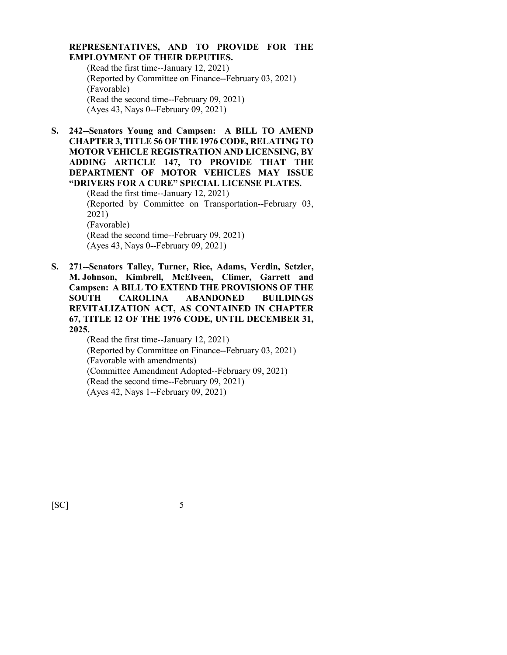### **REPRESENTATIVES, AND TO PROVIDE FOR THE EMPLOYMENT OF THEIR DEPUTIES.**

(Read the first time--January 12, 2021) (Reported by Committee on Finance--February 03, 2021) (Favorable) (Read the second time--February 09, 2021) (Ayes 43, Nays 0--February 09, 2021)

**S. 242--Senators Young and Campsen: A BILL TO AMEND CHAPTER 3, TITLE 56 OF THE 1976 CODE, RELATING TO MOTOR VEHICLE REGISTRATION AND LICENSING, BY ADDING ARTICLE 147, TO PROVIDE THAT THE DEPARTMENT OF MOTOR VEHICLES MAY ISSUE "DRIVERS FOR A CURE" SPECIAL LICENSE PLATES.**

(Read the first time--January 12, 2021) (Reported by Committee on Transportation--February 03, 2021) (Favorable) (Read the second time--February 09, 2021) (Ayes 43, Nays 0--February 09, 2021)

**S. 271--Senators Talley, Turner, Rice, Adams, Verdin, Setzler, M. Johnson, Kimbrell, McElveen, Climer, Garrett and Campsen: A BILL TO EXTEND THE PROVISIONS OF THE SOUTH CAROLINA ABANDONED BUILDINGS REVITALIZATION ACT, AS CONTAINED IN CHAPTER 67, TITLE 12 OF THE 1976 CODE, UNTIL DECEMBER 31, 2025.**

(Read the first time--January 12, 2021) (Reported by Committee on Finance--February 03, 2021) (Favorable with amendments) (Committee Amendment Adopted--February 09, 2021) (Read the second time--February 09, 2021) (Ayes 42, Nays 1--February 09, 2021)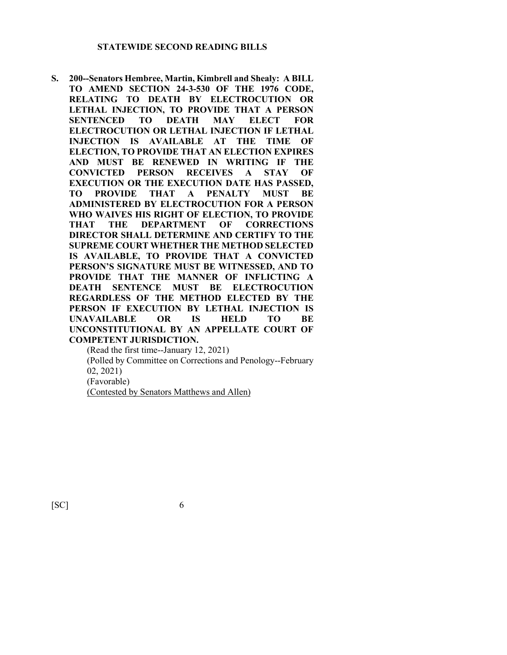**S. 200--Senators Hembree, Martin, Kimbrell and Shealy: A BILL TO AMEND SECTION 24-3-530 OF THE 1976 CODE, RELATING TO DEATH BY ELECTROCUTION OR LETHAL INJECTION, TO PROVIDE THAT A PERSON SENTENCED TO DEATH MAY ELECT FOR ELECTROCUTION OR LETHAL INJECTION IF LETHAL INJECTION IS AVAILABLE AT THE TIME OF ELECTION, TO PROVIDE THAT AN ELECTION EXPIRES AND MUST BE RENEWED IN WRITING IF THE CONVICTED PERSON RECEIVES A STAY OF EXECUTION OR THE EXECUTION DATE HAS PASSED, TO PROVIDE THAT A PENALTY MUST BE ADMINISTERED BY ELECTROCUTION FOR A PERSON WHO WAIVES HIS RIGHT OF ELECTION, TO PROVIDE THAT THE DEPARTMENT OF CORRECTIONS DIRECTOR SHALL DETERMINE AND CERTIFY TO THE SUPREME COURT WHETHER THE METHOD SELECTED IS AVAILABLE, TO PROVIDE THAT A CONVICTED PERSON'S SIGNATURE MUST BE WITNESSED, AND TO PROVIDE THAT THE MANNER OF INFLICTING A DEATH SENTENCE MUST BE ELECTROCUTION REGARDLESS OF THE METHOD ELECTED BY THE PERSON IF EXECUTION BY LETHAL INJECTION IS UNAVAILABLE OR IS HELD TO BE UNCONSTITUTIONAL BY AN APPELLATE COURT OF COMPETENT JURISDICTION.**

(Read the first time--January 12, 2021) (Polled by Committee on Corrections and Penology--February 02, 2021) (Favorable) (Contested by Senators Matthews and Allen)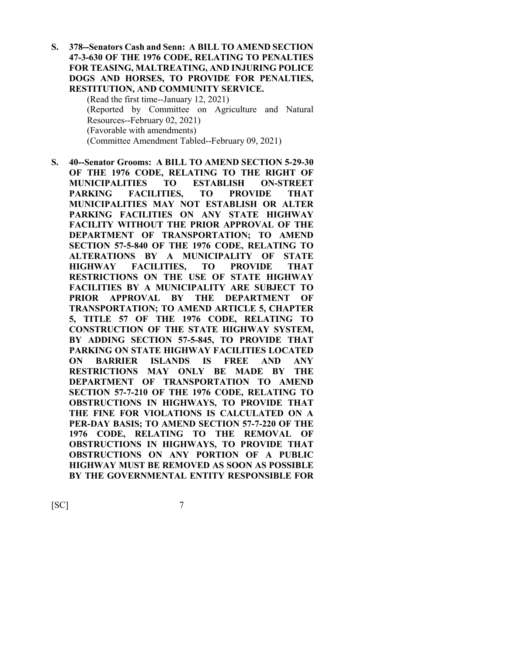**S. 378--Senators Cash and Senn: A BILL TO AMEND SECTION 47-3-630 OF THE 1976 CODE, RELATING TO PENALTIES FOR TEASING, MALTREATING, AND INJURING POLICE DOGS AND HORSES, TO PROVIDE FOR PENALTIES, RESTITUTION, AND COMMUNITY SERVICE.**

> (Read the first time--January 12, 2021) (Reported by Committee on Agriculture and Natural Resources--February 02, 2021) (Favorable with amendments) (Committee Amendment Tabled--February 09, 2021)

**S. 40--Senator Grooms: A BILL TO AMEND SECTION 5-29-30 OF THE 1976 CODE, RELATING TO THE RIGHT OF MUNICIPALITIES TO ESTABLISH ON-STREET PARKING FACILITIES, TO PROVIDE THAT MUNICIPALITIES MAY NOT ESTABLISH OR ALTER PARKING FACILITIES ON ANY STATE HIGHWAY FACILITY WITHOUT THE PRIOR APPROVAL OF THE DEPARTMENT OF TRANSPORTATION; TO AMEND SECTION 57-5-840 OF THE 1976 CODE, RELATING TO ALTERATIONS BY A MUNICIPALITY OF STATE HIGHWAY FACILITIES, TO PROVIDE THAT RESTRICTIONS ON THE USE OF STATE HIGHWAY FACILITIES BY A MUNICIPALITY ARE SUBJECT TO PRIOR APPROVAL BY THE DEPARTMENT OF TRANSPORTATION; TO AMEND ARTICLE 5, CHAPTER 5, TITLE 57 OF THE 1976 CODE, RELATING TO CONSTRUCTION OF THE STATE HIGHWAY SYSTEM, BY ADDING SECTION 57-5-845, TO PROVIDE THAT PARKING ON STATE HIGHWAY FACILITIES LOCATED ON BARRIER ISLANDS IS FREE AND ANY RESTRICTIONS MAY ONLY BE MADE BY THE DEPARTMENT OF TRANSPORTATION TO AMEND SECTION 57-7-210 OF THE 1976 CODE, RELATING TO OBSTRUCTIONS IN HIGHWAYS, TO PROVIDE THAT THE FINE FOR VIOLATIONS IS CALCULATED ON A PER-DAY BASIS; TO AMEND SECTION 57-7-220 OF THE 1976 CODE, RELATING TO THE REMOVAL OF OBSTRUCTIONS IN HIGHWAYS, TO PROVIDE THAT OBSTRUCTIONS ON ANY PORTION OF A PUBLIC HIGHWAY MUST BE REMOVED AS SOON AS POSSIBLE BY THE GOVERNMENTAL ENTITY RESPONSIBLE FOR**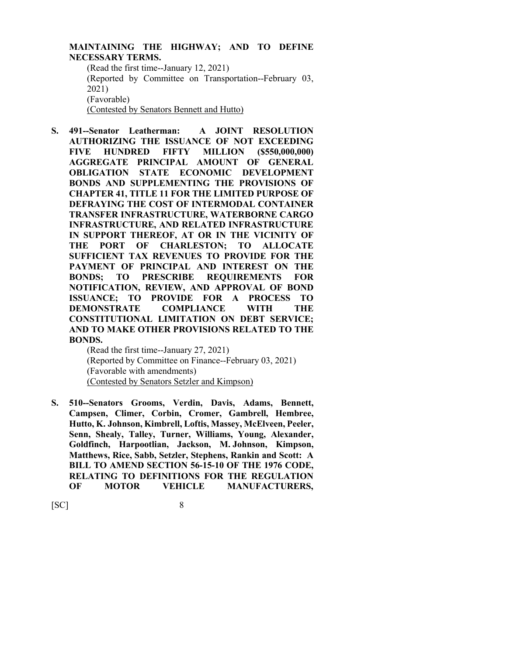## **MAINTAINING THE HIGHWAY; AND TO DEFINE NECESSARY TERMS.**

(Read the first time--January 12, 2021) (Reported by Committee on Transportation--February 03, 2021) (Favorable) (Contested by Senators Bennett and Hutto)

**S. 491--Senator Leatherman: A JOINT RESOLUTION AUTHORIZING THE ISSUANCE OF NOT EXCEEDING FIVE HUNDRED FIFTY MILLION (\$550,000,000) AGGREGATE PRINCIPAL AMOUNT OF GENERAL OBLIGATION STATE ECONOMIC DEVELOPMENT BONDS AND SUPPLEMENTING THE PROVISIONS OF CHAPTER 41, TITLE 11 FOR THE LIMITED PURPOSE OF DEFRAYING THE COST OF INTERMODAL CONTAINER TRANSFER INFRASTRUCTURE, WATERBORNE CARGO INFRASTRUCTURE, AND RELATED INFRASTRUCTURE IN SUPPORT THEREOF, AT OR IN THE VICINITY OF THE PORT OF CHARLESTON; TO ALLOCATE SUFFICIENT TAX REVENUES TO PROVIDE FOR THE PAYMENT OF PRINCIPAL AND INTEREST ON THE BONDS; TO PRESCRIBE REQUIREMENTS FOR NOTIFICATION, REVIEW, AND APPROVAL OF BOND ISSUANCE; TO PROVIDE FOR A PROCESS TO DEMONSTRATE COMPLIANCE WITH THE CONSTITUTIONAL LIMITATION ON DEBT SERVICE; AND TO MAKE OTHER PROVISIONS RELATED TO THE BONDS.**

> (Read the first time--January 27, 2021) (Reported by Committee on Finance--February 03, 2021) (Favorable with amendments) (Contested by Senators Setzler and Kimpson)

**S. 510--Senators Grooms, Verdin, Davis, Adams, Bennett, Campsen, Climer, Corbin, Cromer, Gambrell, Hembree, Hutto, K. Johnson, Kimbrell, Loftis, Massey, McElveen, Peeler, Senn, Shealy, Talley, Turner, Williams, Young, Alexander, Goldfinch, Harpootlian, Jackson, M. Johnson, Kimpson, Matthews, Rice, Sabb, Setzler, Stephens, Rankin and Scott: A BILL TO AMEND SECTION 56-15-10 OF THE 1976 CODE, RELATING TO DEFINITIONS FOR THE REGULATION OF MOTOR VEHICLE MANUFACTURERS,**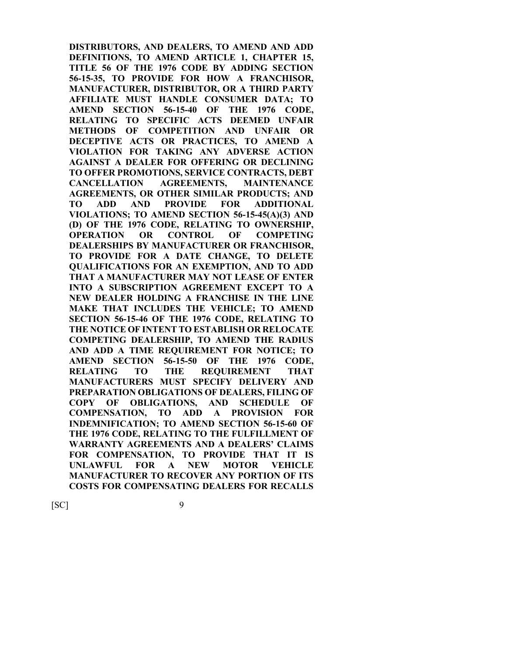**DISTRIBUTORS, AND DEALERS, TO AMEND AND ADD DEFINITIONS, TO AMEND ARTICLE 1, CHAPTER 15, TITLE 56 OF THE 1976 CODE BY ADDING SECTION 56-15-35, TO PROVIDE FOR HOW A FRANCHISOR, MANUFACTURER, DISTRIBUTOR, OR A THIRD PARTY AFFILIATE MUST HANDLE CONSUMER DATA; TO AMEND SECTION 56-15-40 OF THE 1976 CODE, RELATING TO SPECIFIC ACTS DEEMED UNFAIR METHODS OF COMPETITION AND UNFAIR OR DECEPTIVE ACTS OR PRACTICES, TO AMEND A VIOLATION FOR TAKING ANY ADVERSE ACTION AGAINST A DEALER FOR OFFERING OR DECLINING TO OFFER PROMOTIONS, SERVICE CONTRACTS, DEBT CANCELLATION AGREEMENTS, MAINTENANCE AGREEMENTS, OR OTHER SIMILAR PRODUCTS; AND TO ADD AND PROVIDE FOR ADDITIONAL VIOLATIONS; TO AMEND SECTION 56-15-45(A)(3) AND (D) OF THE 1976 CODE, RELATING TO OWNERSHIP, OPERATION OR CONTROL OF COMPETING DEALERSHIPS BY MANUFACTURER OR FRANCHISOR, TO PROVIDE FOR A DATE CHANGE, TO DELETE QUALIFICATIONS FOR AN EXEMPTION, AND TO ADD THAT A MANUFACTURER MAY NOT LEASE OF ENTER INTO A SUBSCRIPTION AGREEMENT EXCEPT TO A NEW DEALER HOLDING A FRANCHISE IN THE LINE MAKE THAT INCLUDES THE VEHICLE; TO AMEND SECTION 56-15-46 OF THE 1976 CODE, RELATING TO THE NOTICE OF INTENT TO ESTABLISH OR RELOCATE COMPETING DEALERSHIP, TO AMEND THE RADIUS AND ADD A TIME REQUIREMENT FOR NOTICE; TO AMEND SECTION 56-15-50 OF THE 1976 CODE, RELATING TO THE REQUIREMENT THAT MANUFACTURERS MUST SPECIFY DELIVERY AND PREPARATION OBLIGATIONS OF DEALERS, FILING OF COPY OF OBLIGATIONS, AND SCHEDULE OF COMPENSATION, TO ADD A PROVISION FOR INDEMNIFICATION; TO AMEND SECTION 56-15-60 OF THE 1976 CODE, RELATING TO THE FULFILLMENT OF WARRANTY AGREEMENTS AND A DEALERS' CLAIMS FOR COMPENSATION, TO PROVIDE THAT IT IS UNLAWFUL FOR A NEW MOTOR VEHICLE MANUFACTURER TO RECOVER ANY PORTION OF ITS COSTS FOR COMPENSATING DEALERS FOR RECALLS** 

 $[SC]$  9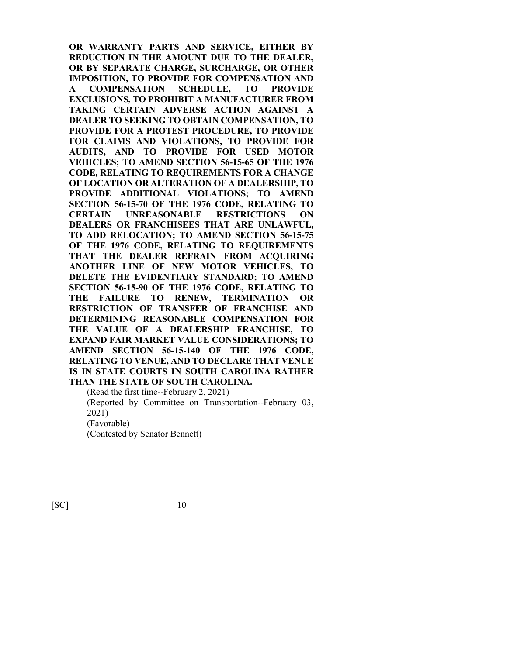**OR WARRANTY PARTS AND SERVICE, EITHER BY REDUCTION IN THE AMOUNT DUE TO THE DEALER, OR BY SEPARATE CHARGE, SURCHARGE, OR OTHER IMPOSITION, TO PROVIDE FOR COMPENSATION AND A COMPENSATION SCHEDULE, TO PROVIDE EXCLUSIONS, TO PROHIBIT A MANUFACTURER FROM TAKING CERTAIN ADVERSE ACTION AGAINST A DEALER TO SEEKING TO OBTAIN COMPENSATION, TO PROVIDE FOR A PROTEST PROCEDURE, TO PROVIDE FOR CLAIMS AND VIOLATIONS, TO PROVIDE FOR AUDITS, AND TO PROVIDE FOR USED MOTOR VEHICLES; TO AMEND SECTION 56-15-65 OF THE 1976 CODE, RELATING TO REQUIREMENTS FOR A CHANGE OF LOCATION OR ALTERATION OF A DEALERSHIP, TO PROVIDE ADDITIONAL VIOLATIONS; TO AMEND SECTION 56-15-70 OF THE 1976 CODE, RELATING TO CERTAIN UNREASONABLE RESTRICTIONS ON DEALERS OR FRANCHISEES THAT ARE UNLAWFUL, TO ADD RELOCATION; TO AMEND SECTION 56-15-75 OF THE 1976 CODE, RELATING TO REQUIREMENTS THAT THE DEALER REFRAIN FROM ACQUIRING ANOTHER LINE OF NEW MOTOR VEHICLES, TO DELETE THE EVIDENTIARY STANDARD; TO AMEND SECTION 56-15-90 OF THE 1976 CODE, RELATING TO THE FAILURE TO RENEW, TERMINATION OR RESTRICTION OF TRANSFER OF FRANCHISE AND DETERMINING REASONABLE COMPENSATION FOR THE VALUE OF A DEALERSHIP FRANCHISE, TO EXPAND FAIR MARKET VALUE CONSIDERATIONS; TO AMEND SECTION 56-15-140 OF THE 1976 CODE, RELATING TO VENUE, AND TO DECLARE THAT VENUE IS IN STATE COURTS IN SOUTH CAROLINA RATHER THAN THE STATE OF SOUTH CAROLINA.**

(Read the first time--February 2, 2021) (Reported by Committee on Transportation--February 03, 2021) (Favorable) (Contested by Senator Bennett)